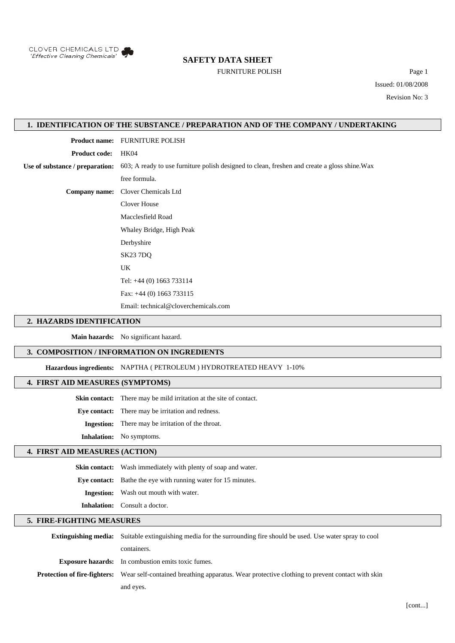

# **SAFETY DATA SHEET**

# FURNITURE POLISH Page 1

Issued: 01/08/2008 Revision No: 3

# **1. IDENTIFICATION OF THE SUBSTANCE / PREPARATION AND OF THE COMPANY / UNDERTAKING**

**Product name:** FURNITURE POLISH

**Product code:** HK04

**Use of substance / preparation:** 603; A ready to use furniture polish designed to clean, freshen and create a gloss shine.Wax

free formula.

**Company name:** Clover Chemicals Ltd

Clover House

Macclesfield Road

Whaley Bridge, High Peak Derbyshire

SK23 7DQ

UK

Tel: +44 (0) 1663 733114

Fax: +44 (0) 1663 733115

Email: technical@cloverchemicals.com

## **2. HAZARDS IDENTIFICATION**

**Main hazards:** No significant hazard.

# **3. COMPOSITION / INFORMATION ON INGREDIENTS**

**Hazardous ingredients:** NAPTHA ( PETROLEUM ) HYDROTREATED HEAVY 1-10%

# **4. FIRST AID MEASURES (SYMPTOMS)**

**Skin contact:** There may be mild irritation at the site of contact.

**Eye contact:** There may be irritation and redness.

**Ingestion:** There may be irritation of the throat.

**Inhalation:** No symptoms.

# **4. FIRST AID MEASURES (ACTION)**

**Skin contact:** Wash immediately with plenty of soap and water.

**Eye contact:** Bathe the eye with running water for 15 minutes.

**Ingestion:** Wash out mouth with water.

**Inhalation:** Consult a doctor.

and eyes.

## **5. FIRE-FIGHTING MEASURES**

**Extinguishing media:** Suitable extinguishing media for the surrounding fire should be used. Use water spray to cool containers. **Exposure hazards:** In combustion emits toxic fumes. **Protection of fire-fighters:** Wear self-contained breathing apparatus. Wear protective clothing to prevent contact with skin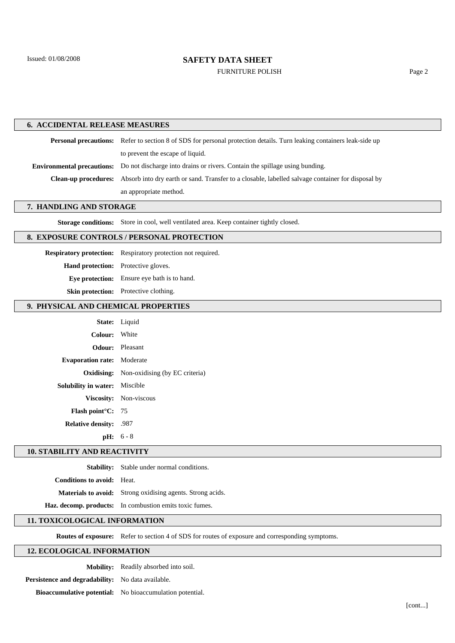# **SAFETY DATA SHEET**

FURNITURE POLISH Page 2

## **6. ACCIDENTAL RELEASE MEASURES**

Personal precautions: Refer to section 8 of SDS for personal protection details. Turn leaking containers leak-side up to prevent the escape of liquid. **Environmental precautions:** Do not discharge into drains or rivers. Contain the spillage using bunding.

**Clean-up procedures:** Absorb into dry earth or sand. Transfer to a closable, labelled salvage container for disposal by

an appropriate method.

# **7. HANDLING AND STORAGE**

**Storage conditions:** Store in cool, well ventilated area. Keep container tightly closed.

# **8. EXPOSURE CONTROLS / PERSONAL PROTECTION**

**Respiratory protection:** Respiratory protection not required.

**Hand protection:** Protective gloves.

**Eye protection:** Ensure eye bath is to hand.

**Skin protection:** Protective clothing.

## **9. PHYSICAL AND CHEMICAL PROPERTIES**

|                                      | State: Liquid                                    |
|--------------------------------------|--------------------------------------------------|
| Colour: White                        |                                                  |
|                                      | <b>Odour:</b> Pleasant                           |
| <b>Evaporation rate:</b> Moderate    |                                                  |
|                                      | <b>Oxidising:</b> Non-oxidising (by EC criteria) |
| <b>Solubility in water:</b> Miscible |                                                  |
|                                      | Viscosity: Non-viscous                           |
| <b>Flash point C:</b> 75             |                                                  |
| <b>Relative density:</b> .987        |                                                  |
|                                      | $pH: 6 - 8$                                      |

#### **10. STABILITY AND REACTIVITY**

**Stability:** Stable under normal conditions.

**Conditions to avoid:** Heat.

**Materials to avoid:** Strong oxidising agents. Strong acids.

**Haz. decomp. products:** In combustion emits toxic fumes.

## **11. TOXICOLOGICAL INFORMATION**

**Routes of exposure:** Refer to section 4 of SDS for routes of exposure and corresponding symptoms.

## **12. ECOLOGICAL INFORMATION**

**Mobility:** Readily absorbed into soil.

**Persistence and degradability:** No data available.

**Bioaccumulative potential:** No bioaccumulation potential.